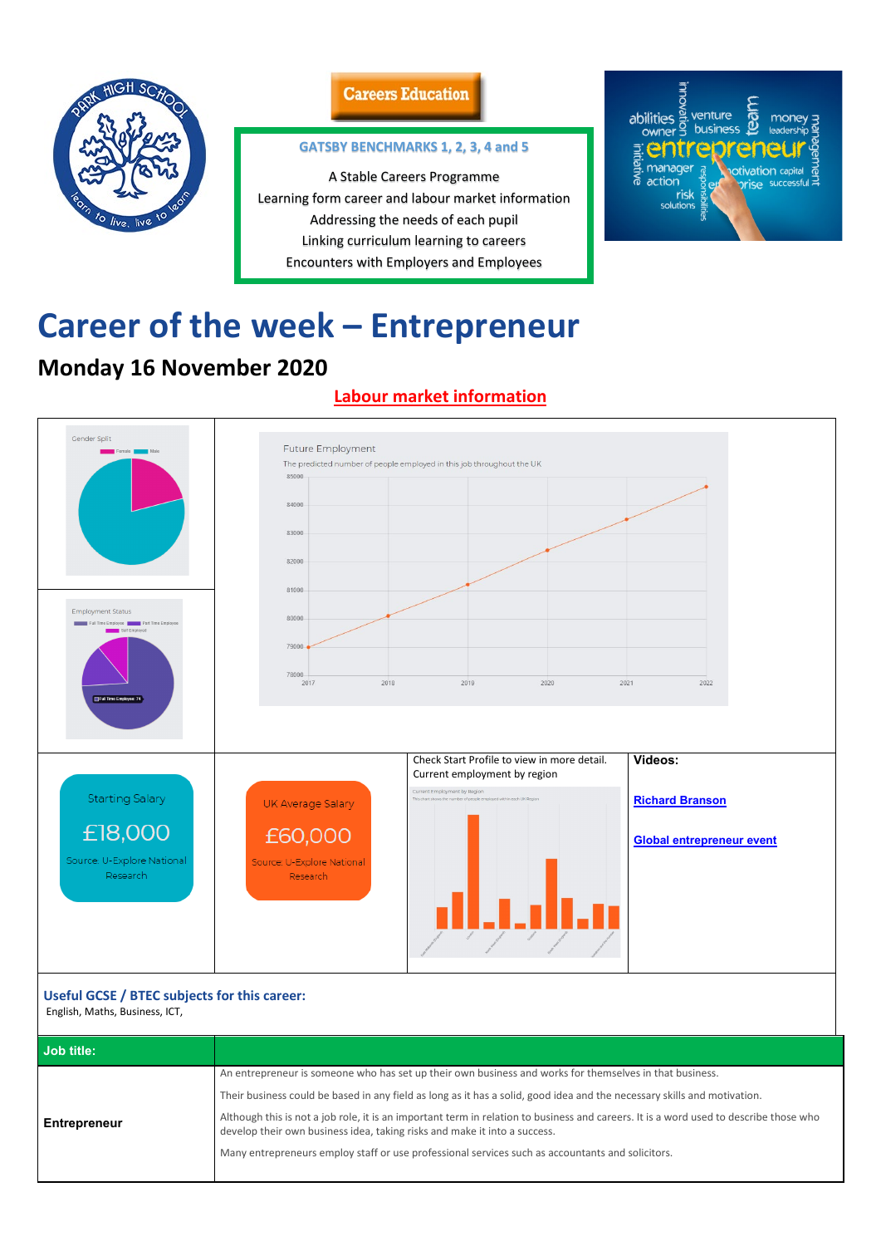

### **Careers Education**

# **Career of the week – Entrepreneur**

## **Monday 16 November 2020**

### **Labour market information**



| Useful GCSE / BTEC subjects for this career:<br>English, Maths, Business, ICT, |                                                                                                                                                                                                                    |  |
|--------------------------------------------------------------------------------|--------------------------------------------------------------------------------------------------------------------------------------------------------------------------------------------------------------------|--|
| Job title:                                                                     |                                                                                                                                                                                                                    |  |
|                                                                                | An entrepreneur is someone who has set up their own business and works for themselves in that business.                                                                                                            |  |
|                                                                                | Their business could be based in any field as long as it has a solid, good idea and the necessary skills and motivation.                                                                                           |  |
| <b>Entrepreneur</b>                                                            | Although this is not a job role, it is an important term in relation to business and careers. It is a word used to describe those who<br>develop their own business idea, taking risks and make it into a success. |  |
|                                                                                | Many entrepreneurs employ staff or use professional services such as accountants and solicitors.                                                                                                                   |  |
|                                                                                |                                                                                                                                                                                                                    |  |

#### **GATSBY BENCHMARKS 1, 2, 3, 4 and 5**

A Stable Careers Programme Learning form career and labour market information Addressing the needs of each pupil Linking curriculum learning to careers Encounters with Employers and Employees